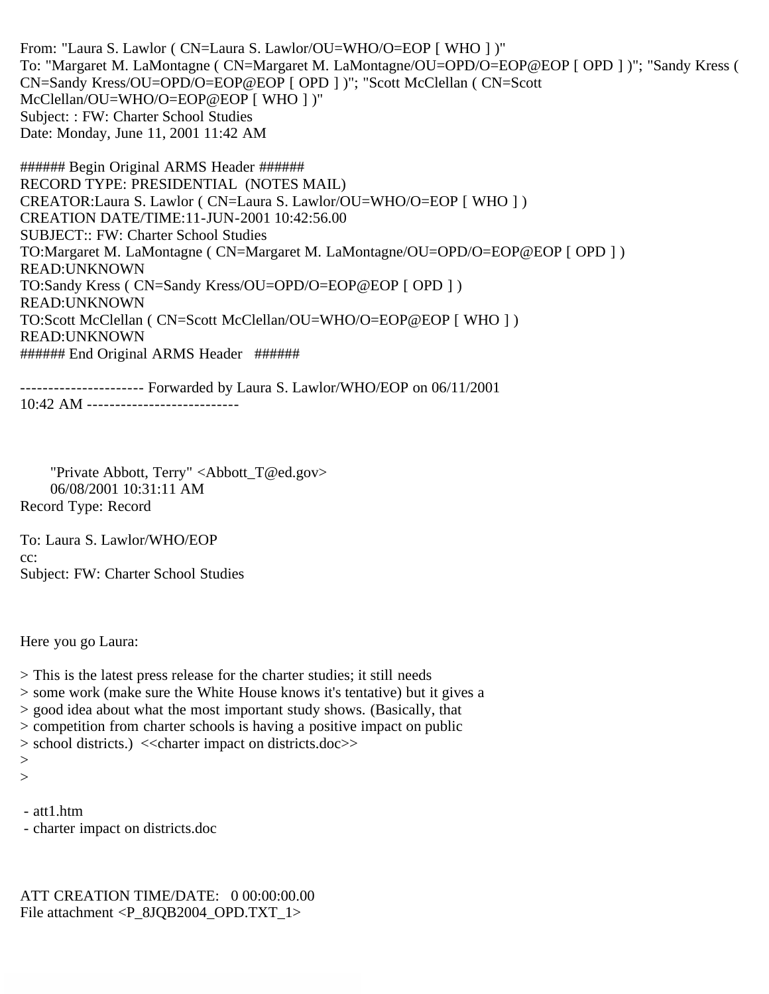From: "Laura S. Lawlor ( CN=Laura S. Lawlor/OU=WHO/O=EOP [ WHO ] )" To: "Margaret M. LaMontagne ( CN=Margaret M. LaMontagne/OU=OPD/O=EOP@EOP [ OPD ] )"; "Sandy Kress ( CN=Sandy Kress/OU=OPD/O=EOP@EOP [ OPD ] )"; "Scott McClellan ( CN=Scott McClellan/OU=WHO/O=EOP@EOP [ WHO ] )" Subject: : FW: Charter School Studies Date: Monday, June 11, 2001 11:42 AM

###### Begin Original ARMS Header ###### RECORD TYPE: PRESIDENTIAL (NOTES MAIL) CREATOR:Laura S. Lawlor ( CN=Laura S. Lawlor/OU=WHO/O=EOP [ WHO ] ) CREATION DATE/TIME:11-JUN-2001 10:42:56.00 SUBJECT:: FW: Charter School Studies TO:Margaret M. LaMontagne ( CN=Margaret M. LaMontagne/OU=OPD/O=EOP@EOP [ OPD ] ) READ:UNKNOWN TO:Sandy Kress ( CN=Sandy Kress/OU=OPD/O=EOP@EOP [ OPD ] ) READ:UNKNOWN TO:Scott McClellan ( CN=Scott McClellan/OU=WHO/O=EOP@EOP [ WHO ] ) READ:UNKNOWN ###### End Original ARMS Header ######

---------------------- Forwarded by Laura S. Lawlor/WHO/EOP on 06/11/2001 10:42 AM ---------------------------

 "Private Abbott, Terry" <Abbott\_T@ed.gov> 06/08/2001 10:31:11 AM Record Type: Record

To: Laura S. Lawlor/WHO/EOP cc: Subject: FW: Charter School Studies

Here you go Laura:

> This is the latest press release for the charter studies; it still needs

> some work (make sure the White House knows it's tentative) but it gives a

> good idea about what the most important study shows. (Basically, that

> competition from charter schools is having a positive impact on public

> school districts.) <<charter impact on districts.doc>>

 $>$  $>$ 

- att1.htm

- charter impact on districts.doc

ATT CREATION TIME/DATE: 0 00:00:00.00 File attachment <P\_8JQB2004\_OPD.TXT\_1>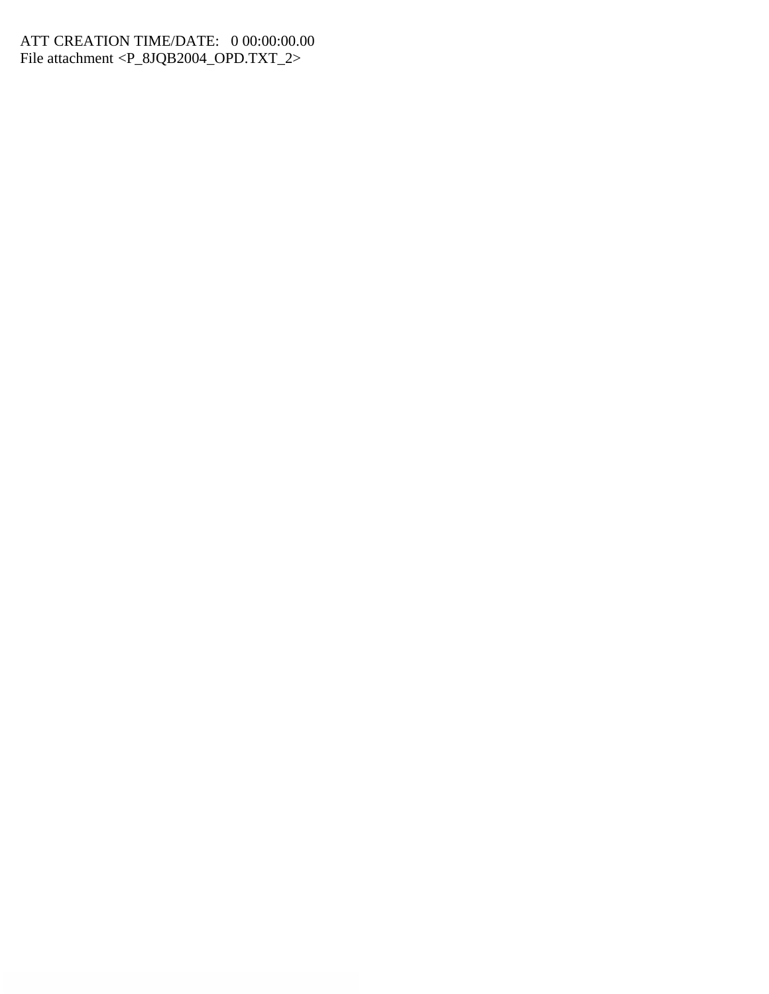## ATT CREATION TIME/DATE: 0 00:00:00.00 File attachment <P\_8JQB2004\_OPD.TXT\_2>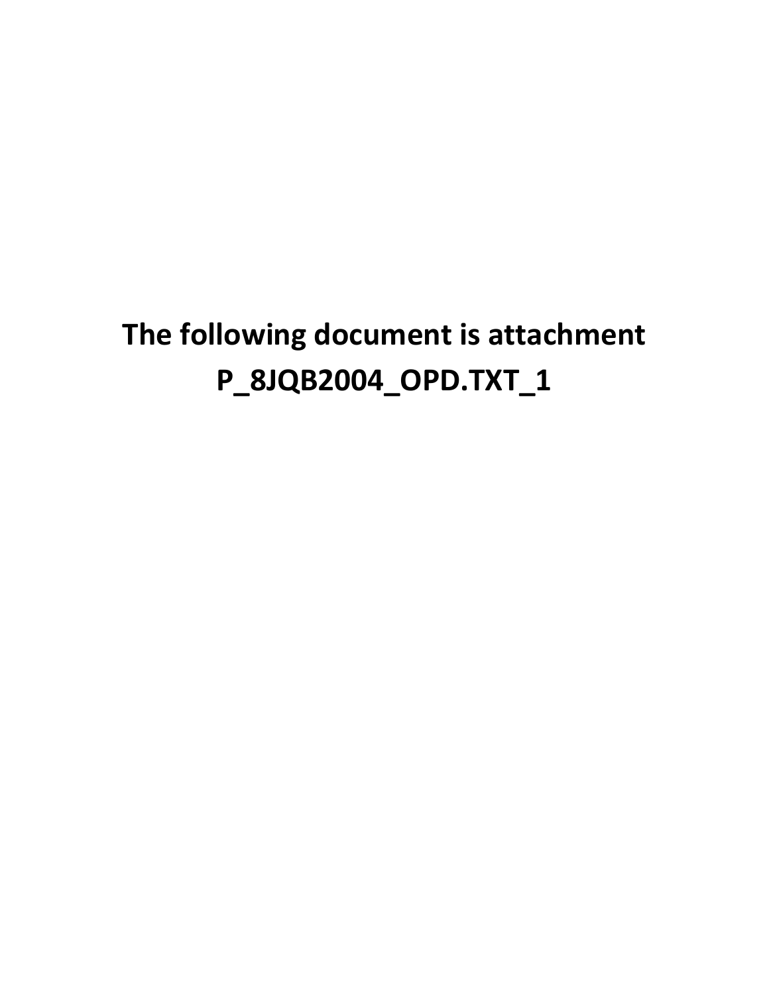# **The following document is attachment P\_8JQB2004\_OPD.TXT\_1**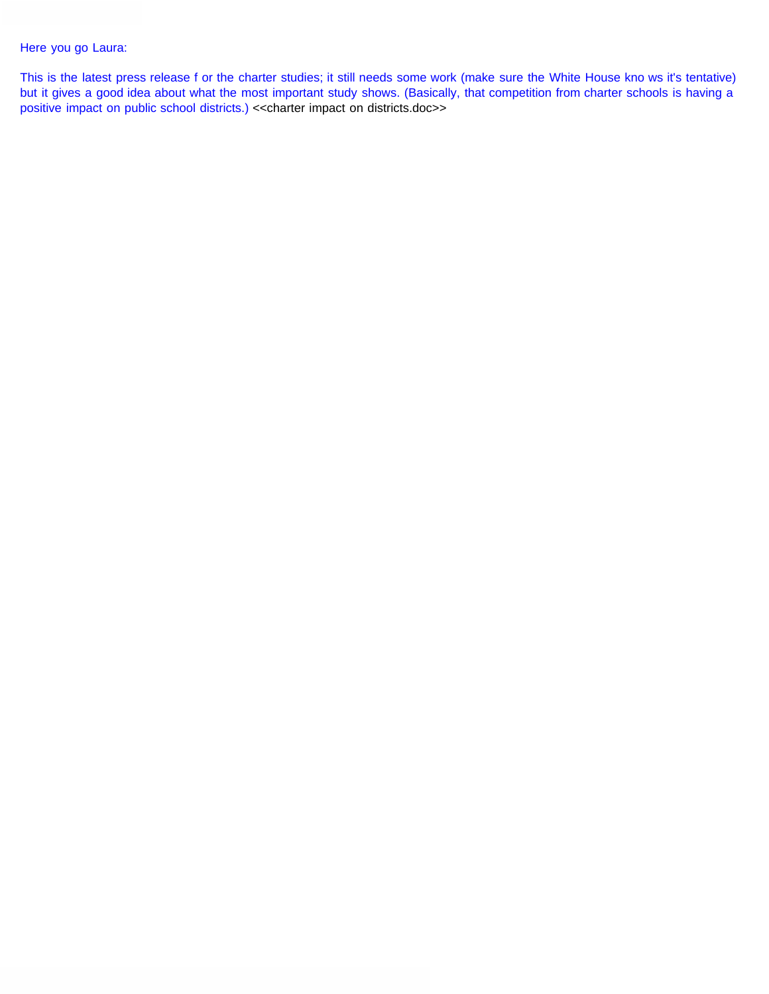#### Here you go Laura:

This is the latest press release f or the charter studies; it still needs some work (make sure the White House kno ws it's tentative) but it gives a good idea about what the most important study shows. (Basically, that competition from charter schools is having a positive impact on public school districts.) <<charter impact on districts.doc>>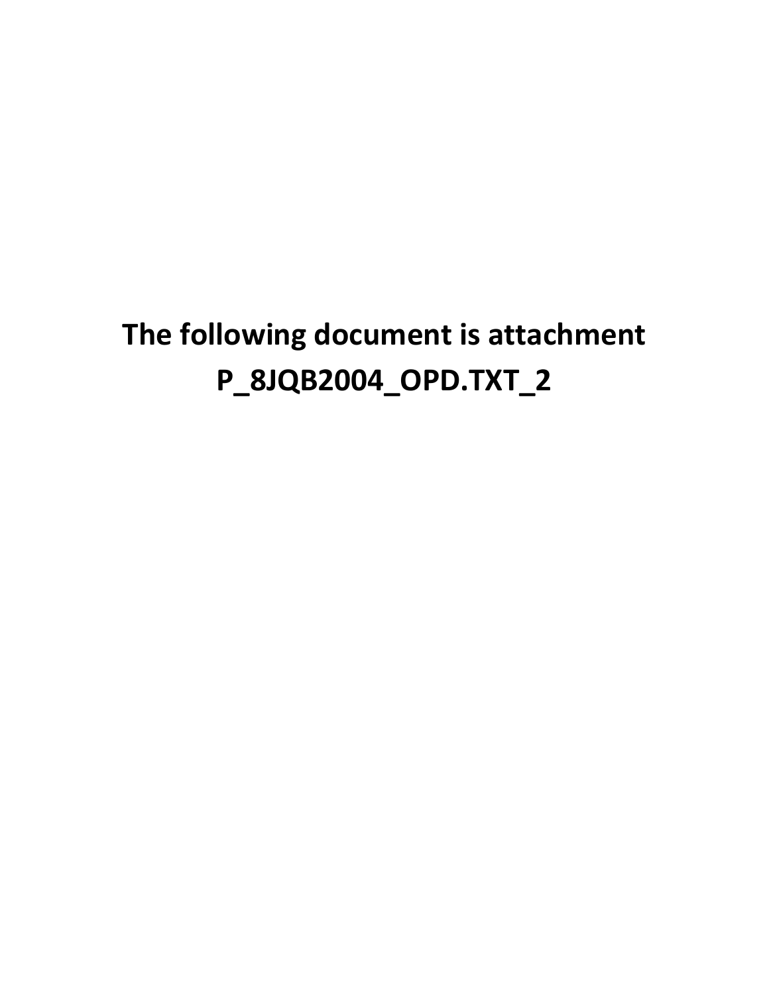# **The following document is attachment P\_8JQB2004\_OPD.TXT\_2**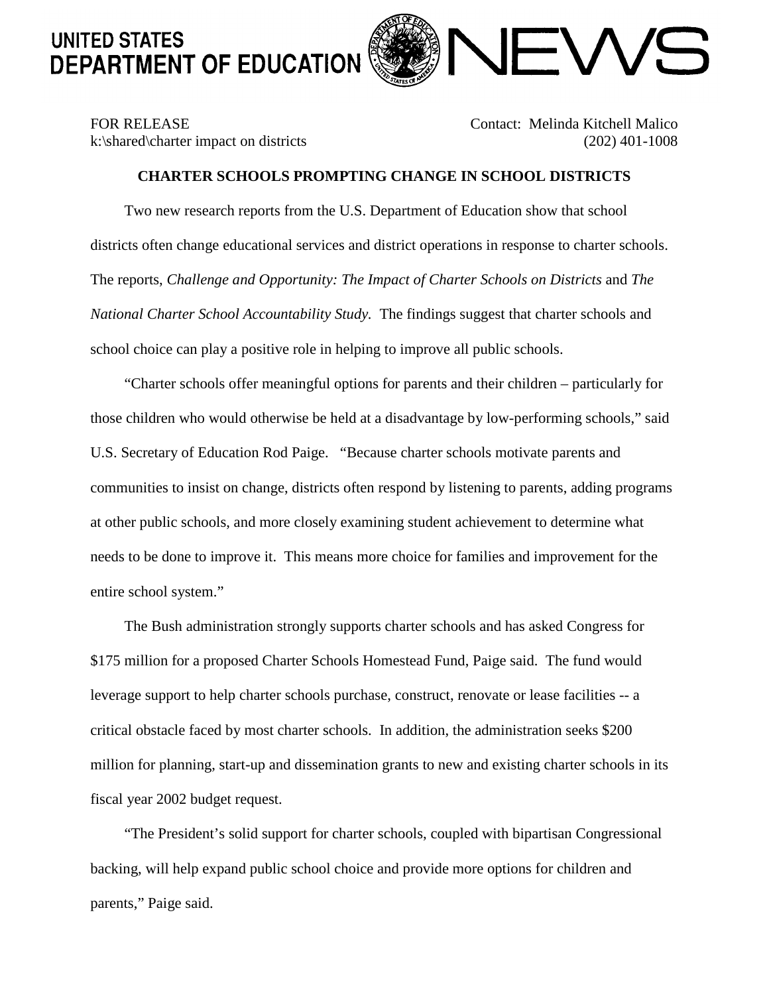# **UNITED STATES** DEPARTMENT OF EDUCATION



## FOR RELEASE Contact: Melinda Kitchell Malico k:\shared\charter impact on districts (202) 401-1008

### **CHARTER SCHOOLS PROMPTING CHANGE IN SCHOOL DISTRICTS**

Two new research reports from the U.S. Department of Education show that school districts often change educational services and district operations in response to charter schools. The reports, *Challenge and Opportunity: The Impact of Charter Schools on Districts* and *The National Charter School Accountability Study.* The findings suggest that charter schools and school choice can play a positive role in helping to improve all public schools.

"Charter schools offer meaningful options for parents and their children – particularly for those children who would otherwise be held at a disadvantage by low-performing schools," said U.S. Secretary of Education Rod Paige. "Because charter schools motivate parents and communities to insist on change, districts often respond by listening to parents, adding programs at other public schools, and more closely examining student achievement to determine what needs to be done to improve it. This means more choice for families and improvement for the entire school system."

The Bush administration strongly supports charter schools and has asked Congress for \$175 million for a proposed Charter Schools Homestead Fund, Paige said. The fund would leverage support to help charter schools purchase, construct, renovate or lease facilities -- a critical obstacle faced by most charter schools. In addition, the administration seeks \$200 million for planning, start-up and dissemination grants to new and existing charter schools in its fiscal year 2002 budget request.

"The President's solid support for charter schools, coupled with bipartisan Congressional backing, will help expand public school choice and provide more options for children and parents," Paige said.